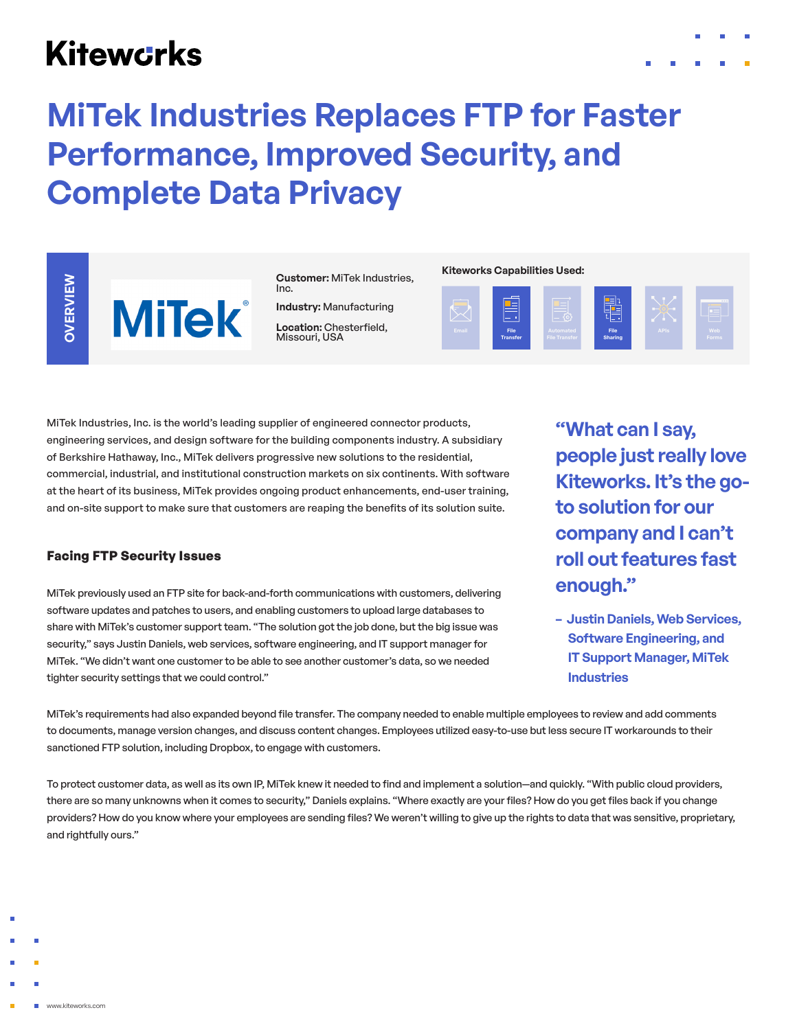# **Kitewcrks**



## OVERVIEW **OVERVIEW**

**MiTek** 

**Customer:** MiTek Industries, Inc.

**Industry:** Manufacturing **Location:** Chesterfield,<br>Missouri, USA

#### **Kiteworks Capabilities Used:**



MiTek Industries, Inc. is the world's leading supplier of engineered connector products, engineering services, and design software for the building components industry. A subsidiary of Berkshire Hathaway, Inc., MiTek delivers progressive new solutions to the residential, commercial, industrial, and institutional construction markets on six continents. With software at the heart of its business, MiTek provides ongoing product enhancements, end-user training, and on-site support to make sure that customers are reaping the benefits of its solution suite.

## **Facing FTP Security Issues**

MiTek previously used an FTP site for back-and-forth communications with customers, delivering software updates and patches to users, and enabling customers to upload large databases to share with MiTek's customer support team. "The solution got the job done, but the big issue was security," says Justin Daniels, web services, software engineering, and IT support manager for MiTek. "We didn't want one customer to be able to see another customer's data, so we needed tighter security settings that we could control."

**"What can I say, people just really love Kiteworks. It's the goto solution for our company and I can't roll out features fast enough."**

**– Justin Daniels, Web Services, Software Engineering, and IT Support Manager, MiTek Industries**

MiTek's requirements had also expanded beyond file transfer. The company needed to enable multiple employees to review and add comments to documents, manage version changes, and discuss content changes. Employees utilized easy-to-use but less secure IT workarounds to their sanctioned FTP solution, including Dropbox, to engage with customers.

To protect customer data, as well as its own IP, MiTek knew it needed to find and implement a solution—and quickly. "With public cloud providers, there are so many unknowns when it comes to security," Daniels explains. "Where exactly are your files? How do you get files back if you change providers? How do you know where your employees are sending files? We weren't willing to give up the rights to data that was sensitive, proprietary, and rightfully ours."

- 
- 
- 
- 
- www.kiteworks.com